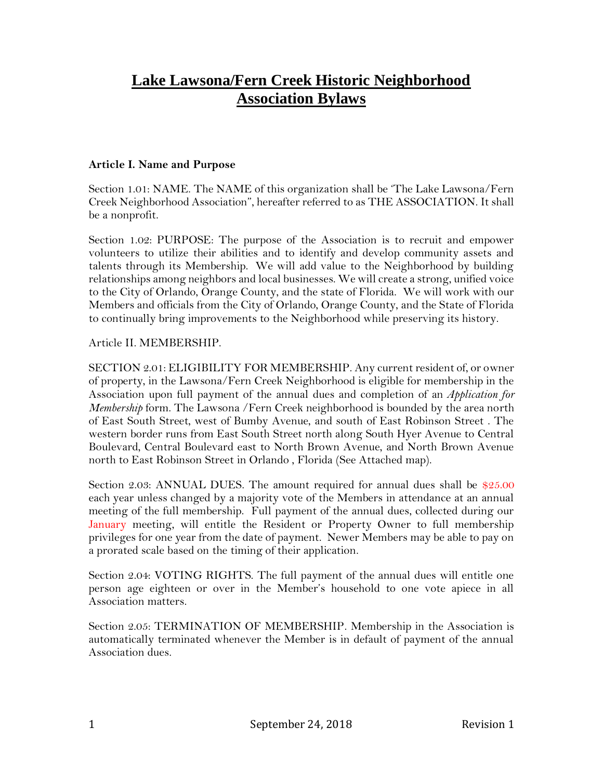# **Lake Lawsona/Fern Creek Historic Neighborhood Association Bylaws**

### **Article I. Name and Purpose**

Section 1.01: NAME. The NAME of this organization shall be 'The Lake Lawsona/Fern Creek Neighborhood Association", hereafter referred to as THE ASSOCIATION. It shall be a nonprofit.

Section 1.02: PURPOSE: The purpose of the Association is to recruit and empower volunteers to utilize their abilities and to identify and develop community assets and talents through its Membership. We will add value to the Neighborhood by building relationships among neighbors and local businesses. We will create a strong, unified voice to the City of Orlando, Orange County, and the state of Florida. We will work with our Members and officials from the City of Orlando, Orange County, and the State of Florida to continually bring improvements to the Neighborhood while preserving its history.

## Article II. MEMBERSHIP.

SECTION 2.01: ELIGIBILITY FOR MEMBERSHIP. Any current resident of, or owner of property, in the Lawsona/Fern Creek Neighborhood is eligible for membership in the Association upon full payment of the annual dues and completion of an *Application for Membership* form. The Lawsona /Fern Creek neighborhood is bounded by the area north of East South Street, west of Bumby Avenue, and south of East Robinson Street . The western border runs from East South Street north along South Hyer Avenue to Central Boulevard, Central Boulevard east to North Brown Avenue, and North Brown Avenue north to East Robinson Street in Orlando , Florida (See Attached map).

Section 2.03: ANNUAL DUES. The amount required for annual dues shall be \$25.00 each year unless changed by a majority vote of the Members in attendance at an annual meeting of the full membership. Full payment of the annual dues, collected during our January meeting, will entitle the Resident or Property Owner to full membership privileges for one year from the date of payment. Newer Members may be able to pay on a prorated scale based on the timing of their application.

Section 2.04: VOTING RIGHTS. The full payment of the annual dues will entitle one person age eighteen or over in the Member's household to one vote apiece in all Association matters.

Section 2.05: TERMINATION OF MEMBERSHIP. Membership in the Association is automatically terminated whenever the Member is in default of payment of the annual Association dues.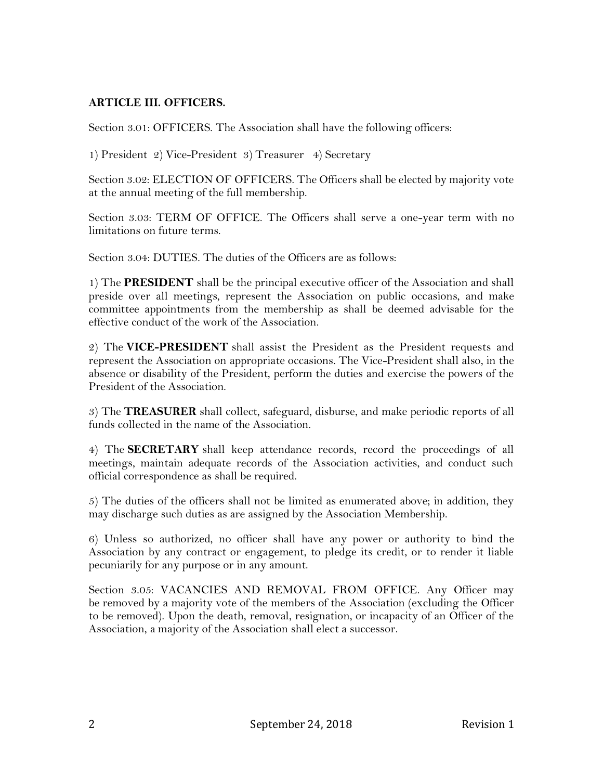# **ARTICLE III. OFFICERS.**

Section 3.01: OFFICERS. The Association shall have the following officers:

1) President 2) Vice-President 3) Treasurer 4) Secretary

Section 3.02: ELECTION OF OFFICERS. The Officers shall be elected by majority vote at the annual meeting of the full membership.

Section 3.03: TERM OF OFFICE. The Officers shall serve a one-year term with no limitations on future terms.

Section 3.04: DUTIES. The duties of the Officers are as follows:

1) The **PRESIDENT** shall be the principal executive officer of the Association and shall preside over all meetings, represent the Association on public occasions, and make committee appointments from the membership as shall be deemed advisable for the effective conduct of the work of the Association.

2) The **VICE-PRESIDENT** shall assist the President as the President requests and represent the Association on appropriate occasions. The Vice-President shall also, in the absence or disability of the President, perform the duties and exercise the powers of the President of the Association.

3) The **TREASURER** shall collect, safeguard, disburse, and make periodic reports of all funds collected in the name of the Association.

4) The **SECRETARY** shall keep attendance records, record the proceedings of all meetings, maintain adequate records of the Association activities, and conduct such official correspondence as shall be required.

5) The duties of the officers shall not be limited as enumerated above; in addition, they may discharge such duties as are assigned by the Association Membership.

6) Unless so authorized, no officer shall have any power or authority to bind the Association by any contract or engagement, to pledge its credit, or to render it liable pecuniarily for any purpose or in any amount.

Section 3.05: VACANCIES AND REMOVAL FROM OFFICE. Any Officer may be removed by a majority vote of the members of the Association (excluding the Officer to be removed). Upon the death, removal, resignation, or incapacity of an Officer of the Association, a majority of the Association shall elect a successor.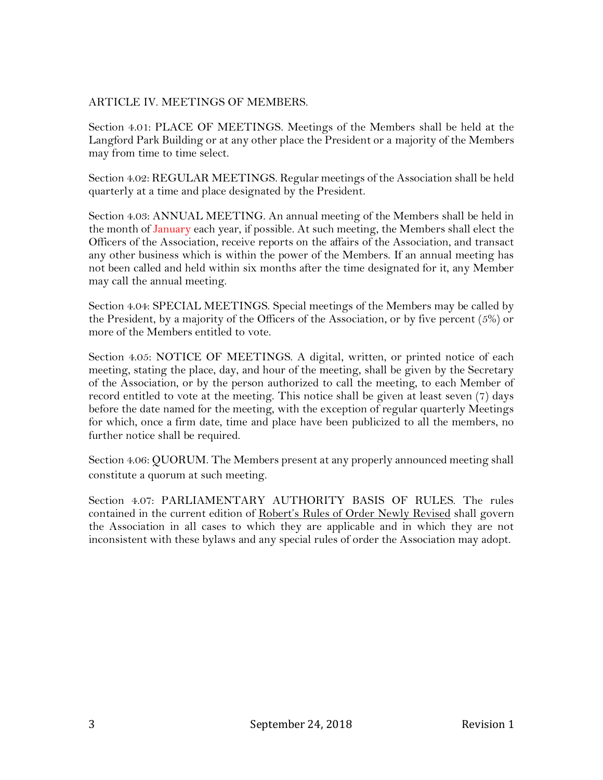## ARTICLE IV. MEETINGS OF MEMBERS.

Section 4.01: PLACE OF MEETINGS. Meetings of the Members shall be held at the Langford Park Building or at any other place the President or a majority of the Members may from time to time select.

Section 4.02: REGULAR MEETINGS. Regular meetings of the Association shall be held quarterly at a time and place designated by the President.

Section 4.03: ANNUAL MEETING. An annual meeting of the Members shall be held in the month of January each year, if possible. At such meeting, the Members shall elect the Officers of the Association, receive reports on the affairs of the Association, and transact any other business which is within the power of the Members. If an annual meeting has not been called and held within six months after the time designated for it, any Member may call the annual meeting.

Section 4.04: SPECIAL MEETINGS. Special meetings of the Members may be called by the President, by a majority of the Officers of the Association, or by five percent (5%) or more of the Members entitled to vote.

Section 4.05: NOTICE OF MEETINGS. A digital, written, or printed notice of each meeting, stating the place, day, and hour of the meeting, shall be given by the Secretary of the Association, or by the person authorized to call the meeting, to each Member of record entitled to vote at the meeting. This notice shall be given at least seven (7) days before the date named for the meeting, with the exception of regular quarterly Meetings for which, once a firm date, time and place have been publicized to all the members, no further notice shall be required.

Section 4.06: QUORUM. The Members present at any properly announced meeting shall constitute a quorum at such meeting.

Section 4.07: PARLIAMENTARY AUTHORITY BASIS OF RULES. The rules contained in the current edition of Robert's Rules of Order Newly Revised shall govern the Association in all cases to which they are applicable and in which they are not inconsistent with these bylaws and any special rules of order the Association may adopt.